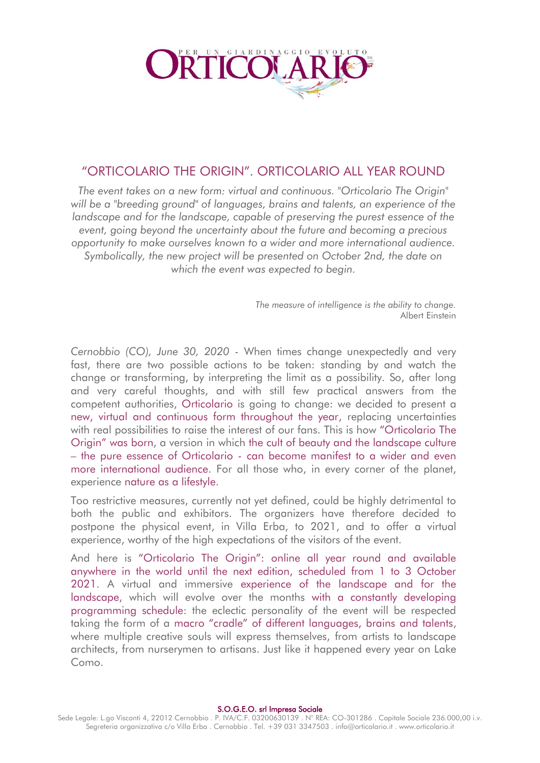

## "ORTICOLARIO THE ORIGIN". ORTICOLARIO ALL YEAR ROUND

*The event takes on a new form: virtual and continuous. "Orticolario The Origin" will be a "breeding ground" of languages, brains and talents, an experience of the landscape and for the landscape, capable of preserving the purest essence of the event, going beyond the uncertainty about the future and becoming a precious opportunity to make ourselves known to a wider and more international audience. Symbolically, the new project will be presented on October 2nd, the date on which the event was expected to begin.*

> *The measure of intelligence is the ability to change.* Albert Einstein

*Cernobbio (CO), June 30, 2020* - When times change unexpectedly and very fast, there are two possible actions to be taken: standing by and watch the change or transforming, by interpreting the limit as a possibility. So, after long and very careful thoughts, and with still few practical answers from the competent authorities, Orticolario is going to change: we decided to present a new, virtual and continuous form throughout the year, replacing uncertainties with real possibilities to raise the interest of our fans. This is how "Orticolario The Origin" was born, a version in which the cult of beauty and the landscape culture – the pure essence of Orticolario - can become manifest to a wider and even more international audience. For all those who, in every corner of the planet, experience nature as a lifestyle.

Too restrictive measures, currently not yet defined, could be highly detrimental to both the public and exhibitors. The organizers have therefore decided to postpone the physical event, in Villa Erba, to 2021, and to offer a virtual experience, worthy of the high expectations of the visitors of the event.

And here is "Orticolario The Origin": online all year round and available anywhere in the world until the next edition, scheduled from 1 to 3 October 2021. A virtual and immersive experience of the landscape and for the landscape, which will evolve over the months with a constantly developing programming schedule: the eclectic personality of the event will be respected taking the form of a macro "cradle" of different languages, brains and talents, where multiple creative souls will express themselves, from artists to landscape architects, from nurserymen to artisans. Just like it happened every year on Lake Como.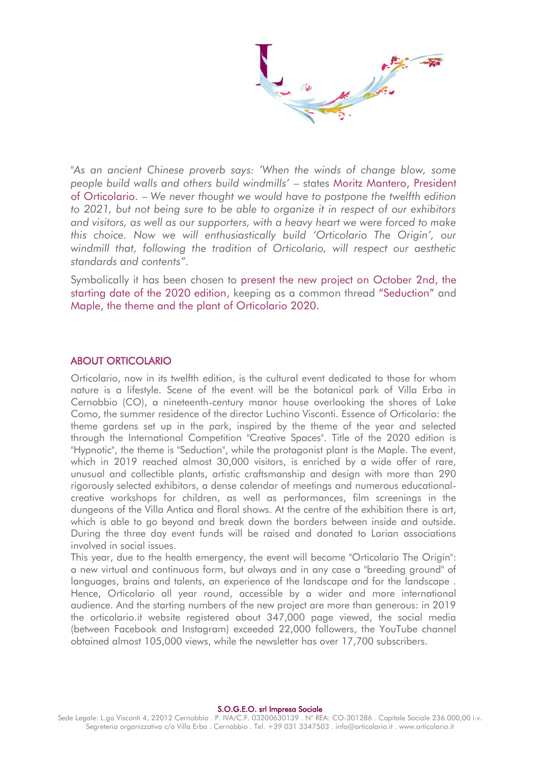*"As an ancient Chinese proverb says: 'When the winds of change blow, some people build walls and others build windmills'* – states Moritz Mantero, President of Orticolario. – *We never thought we would have to postpone the twelfth edition to 2021, but not being sure to be able to organize it in respect of our exhibitors and visitors, as well as our supporters, with a heavy heart we were forced to make this choice. Now we will enthusiastically build 'Orticolario The Origin', our windmill that, following the tradition of Orticolario, will respect our aesthetic standards and contents".*

Symbolically it has been chosen to present the new project on October 2nd, the starting date of the 2020 edition, keeping as a common thread "Seduction" and Maple, the theme and the plant of Orticolario 2020.

## ABOUT ORTICOLARIO

Orticolario, now in its twelfth edition, is the cultural event dedicated to those for whom nature is a lifestyle. Scene of the event will be the botanical park of Villa Erba in Cernobbio (CO), a nineteenth-century manor house overlooking the shores of Lake Como, the summer residence of the director Luchino Visconti. Essence of Orticolario: the theme gardens set up in the park, inspired by the theme of the year and selected through the International Competition "Creative Spaces". Title of the 2020 edition is "Hypnotic", the theme is "Seduction", while the protagonist plant is the Maple. The event, which in 2019 reached almost 30,000 visitors, is enriched by a wide offer of rare, unusual and collectible plants, artistic craftsmanship and design with more than 290 rigorously selected exhibitors, a dense calendar of meetings and numerous educationalcreative workshops for children, as well as performances, film screenings in the dungeons of the Villa Antica and floral shows. At the centre of the exhibition there is art, which is able to go beyond and break down the borders between inside and outside. During the three day event funds will be raised and donated to Larian associations involved in social issues.

This year, due to the health emergency, the event will become "Orticolario The Origin": a new virtual and continuous form, but always and in any case a "breeding ground" of languages, brains and talents, an experience of the landscape and for the landscape . Hence, Orticolario all year round, accessible by a wider and more international audience. And the starting numbers of the new project are more than generous: in 2019 the orticolario.it website registered about 347,000 page viewed, the social media (between Facebook and Instagram) exceeded 22,000 followers, the YouTube channel obtained almost 105,000 views, while the newsletter has over 17,700 subscribers.